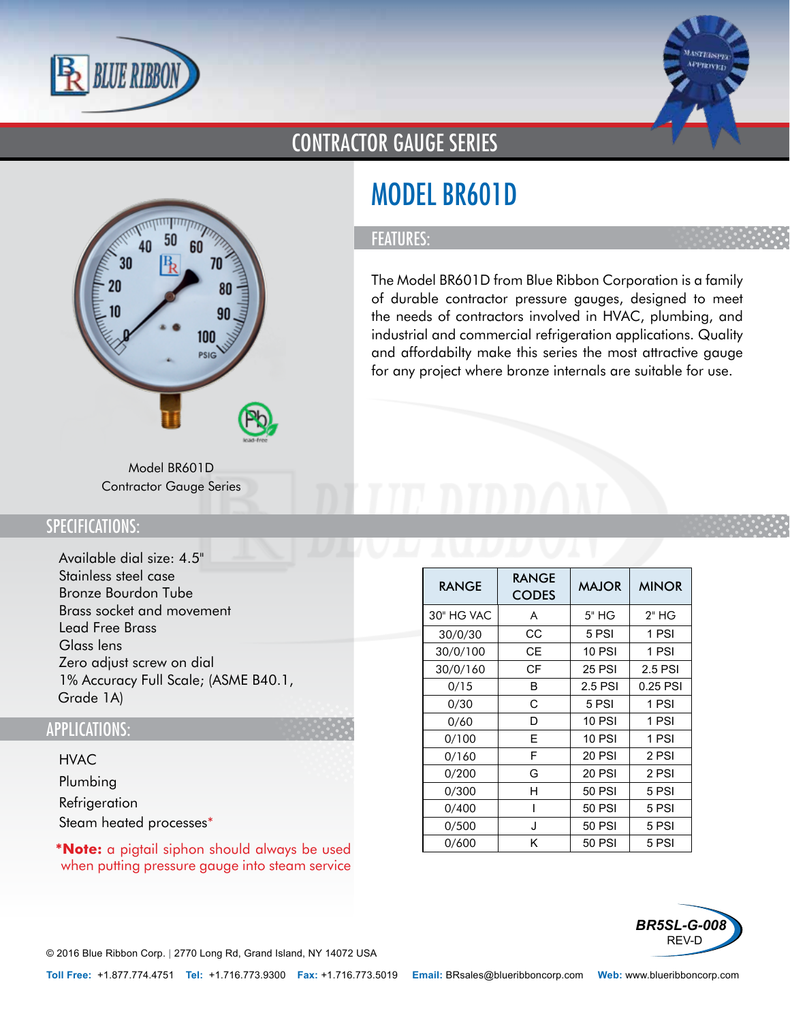



## CONTRACTOR GAUGE SERIES

# 60 30 70  $20$ 100 PSIG

# MODEL BR601D

### FEATURES:

The Model BR601D from Blue Ribbon Corporation is a family of durable contractor pressure gauges, designed to meet the needs of contractors involved in HVAC, plumbing, and industrial and commercial refrigeration applications. Quality and affordabilty make this series the most attractive gauge for any project where bronze internals are suitable for use.

Model BR601D Contractor Gauge Series

### SPECIFICATIONS:

- Available dial size: 4.5"
- Stainless steel case
- Bronze Bourdon Tube
- Brass socket and movement
- Lead Free Brass
- Glass lens
- Zero adjust screw on dial
- 1% Accuracy Full Scale; (ASME B40.1, Grade 1A)

#### APPLICATIONS:

- HVAC
- Plumbing
- Refrigeration
- Steam heated processes\*

**\*Note:** a pigtail siphon should always be used when putting pressure gauge into steam service

| <b>RANGE</b> | RANGE<br><b>CODES</b> | <b>MAJOR</b>  | <b>MINOR</b> |
|--------------|-----------------------|---------------|--------------|
| 30" HG VAC   | A                     | 5" HG         | 2" HG        |
| 30/0/30      | CС                    | 5 PSI         | 1 PSI        |
| 30/0/100     | CЕ                    | <b>10 PSI</b> | 1 PSI        |
| 30/0/160     | СF                    | <b>25 PSI</b> | 2.5 PSI      |
| 0/15         | в                     | 2.5 PSI       | 0.25 PSI     |
| 0/30         | C                     | 5 PSI         | 1 PSI        |
| 0/60         | D                     | <b>10 PSI</b> | 1 PSI        |
| 0/100        | F                     | 10 PSI        | 1 PSI        |
| 0/160        | F                     | 20 PSI        | 2 PSI        |
| 0/200        | G                     | 20 PSI        | 2 PSI        |
| 0/300        | н                     | 50 PSI        | 5 PSI        |
| 0/400        |                       | 50 PSI        | 5 PSI        |
| 0/500        | J                     | 50 PSI        | 5 PSI        |
| 0/600        | Κ                     | 50 PSI        | 5 PSI        |



© 2016 Blue Ribbon Corp. *<sup>|</sup>* 2770 Long Rd, Grand Island, NY 14072 USA